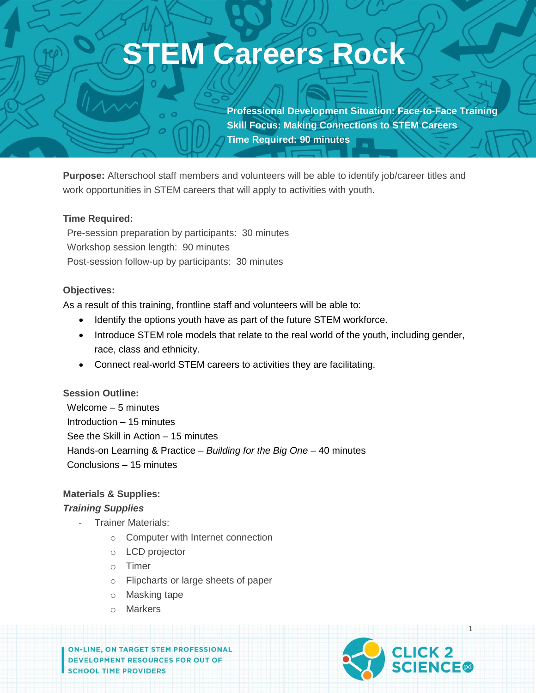# **EM Careers Rock**

**Professional Development Situation: Face-to-Face Training Skill Focus: Making Connections to STEM Careers Time Required: 90 minutes**

**Purpose:** Afterschool staff members and volunteers will be able to identify job/career titles and work opportunities in STEM careers that will apply to activities with youth.

#### **Time Required:**

Pre-session preparation by participants: 30 minutes Workshop session length: 90 minutes Post-session follow-up by participants: 30 minutes

#### **Objectives:**

As a result of this training, frontline staff and volunteers will be able to:

- Identify the options youth have as part of the future STEM workforce.
- Introduce STEM role models that relate to the real world of the youth, including gender, race, class and ethnicity.
- Connect real-world STEM careers to activities they are facilitating.

**Session Outline:** Welcome – 5 minutes Introduction – 15 minutes See the Skill in Action – 15 minutes Hands-on Learning & Practice – *Building for the Big One* – 40 minutes Conclusions – 15 minutes

#### **Materials & Supplies:**

#### *Training Supplies*

- **Trainer Materials:** 
	- o Computer with Internet connection
	- o LCD projector
	- o Timer
	- o Flipcharts or large sheets of paper
	- o Masking tape
	- o Markers

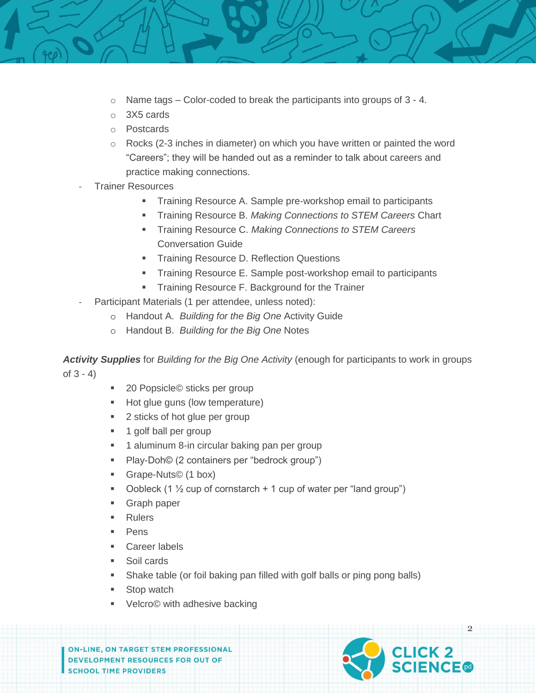- o Name tags Color-coded to break the participants into groups of 3 4.
- o 3X5 cards
- o Postcards
- $\circ$  Rocks (2-3 inches in diameter) on which you have written or painted the word "Careers"; they will be handed out as a reminder to talk about careers and practice making connections.
- **Trainer Resources** 
	- **Training Resource A. Sample pre-workshop email to participants**
	- Training Resource B. *Making Connections to STEM Careers* Chart
	- Training Resource C. *Making Connections to STEM Careers* Conversation Guide
	- **Training Resource D. Reflection Questions**
	- Training Resource E. Sample post-workshop email to participants
	- **Training Resource F. Background for the Trainer**
- Participant Materials (1 per attendee, unless noted):
	- o Handout A. *Building for the Big One* Activity Guide
	- o Handout B. *Building for the Big One* Notes

*Activity Supplies* for *Building for the Big One Activity* (enough for participants to work in groups of 3 - 4)

- 20 Popsicle© sticks per group
- Hot glue guns (low temperature)
- 2 sticks of hot glue per group
- **1** golf ball per group
- **1** aluminum 8-in circular baking pan per group
- Play-Doh© (2 containers per "bedrock group")
- Grape-Nuts© (1 box)
- Oobleck (1  $\frac{1}{2}$  cup of cornstarch + 1 cup of water per "land group")
- **Graph paper**
- Rulers
- Pens
- **Career labels**
- **Soil cards**
- Shake table (or foil baking pan filled with golf balls or ping pong balls)
- Stop watch
- Velcro© with adhesive backing

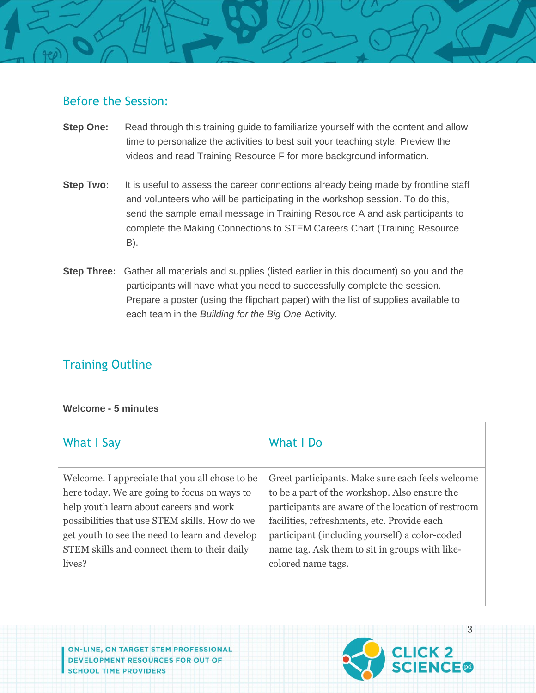# Before the Session:

- **Step One:** Read through this training guide to familiarize yourself with the content and allow time to personalize the activities to best suit your teaching style. Preview the videos and read Training Resource F for more background information.
- **Step Two:** It is useful to assess the career connections already being made by frontline staff and volunteers who will be participating in the workshop session. To do this, send the sample email message in Training Resource A and ask participants to complete the Making Connections to STEM Careers Chart (Training Resource B).
- **Step Three:** Gather all materials and supplies (listed earlier in this document) so you and the participants will have what you need to successfully complete the session. Prepare a poster (using the flipchart paper) with the list of supplies available to each team in the *Building for the Big One* Activity*.*

# Training Outline

#### **Welcome - 5 minutes**

| What I Say                                                                                                                                                                                                                                                                                            | What I Do                                                                                                                                                                                                                                                                                                                        |
|-------------------------------------------------------------------------------------------------------------------------------------------------------------------------------------------------------------------------------------------------------------------------------------------------------|----------------------------------------------------------------------------------------------------------------------------------------------------------------------------------------------------------------------------------------------------------------------------------------------------------------------------------|
| Welcome. I appreciate that you all chose to be<br>here today. We are going to focus on ways to<br>help youth learn about careers and work<br>possibilities that use STEM skills. How do we<br>get youth to see the need to learn and develop<br>STEM skills and connect them to their daily<br>lives? | Greet participants. Make sure each feels welcome<br>to be a part of the workshop. Also ensure the<br>participants are aware of the location of restroom<br>facilities, refreshments, etc. Provide each<br>participant (including yourself) a color-coded<br>name tag. Ask them to sit in groups with like-<br>colored name tags. |
|                                                                                                                                                                                                                                                                                                       |                                                                                                                                                                                                                                                                                                                                  |

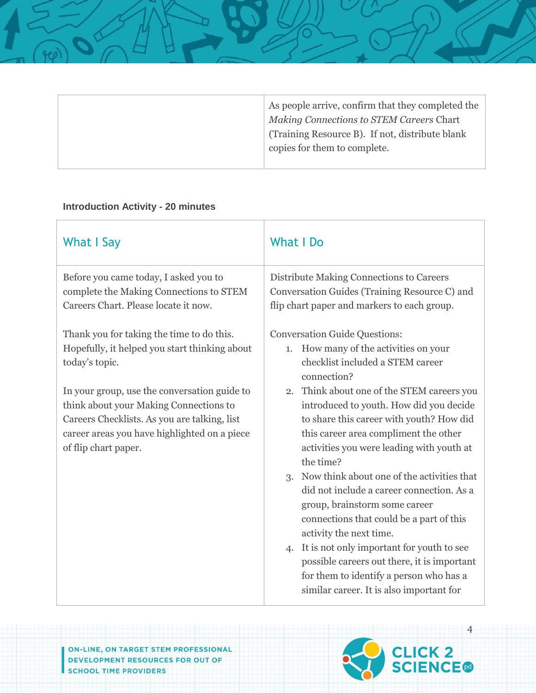| As people arrive, confirm that they completed the<br>Making Connections to STEM Careers Chart |
|-----------------------------------------------------------------------------------------------|
| (Training Resource B). If not, distribute blank                                               |
| copies for them to complete.                                                                  |
|                                                                                               |

#### **Introduction Activity - 20 minutes**

| <b>What I Say</b>                                                                                                                                                                                                                                                                                                              | <b>What I Do</b>                                                                                                                                                                                                                                                                                                                                                                                                                                                                                                                                                                                                                                                                                                                                                           |
|--------------------------------------------------------------------------------------------------------------------------------------------------------------------------------------------------------------------------------------------------------------------------------------------------------------------------------|----------------------------------------------------------------------------------------------------------------------------------------------------------------------------------------------------------------------------------------------------------------------------------------------------------------------------------------------------------------------------------------------------------------------------------------------------------------------------------------------------------------------------------------------------------------------------------------------------------------------------------------------------------------------------------------------------------------------------------------------------------------------------|
| Before you came today, I asked you to<br>complete the Making Connections to STEM<br>Careers Chart. Please locate it now.                                                                                                                                                                                                       | Distribute Making Connections to Careers<br>Conversation Guides (Training Resource C) and<br>flip chart paper and markers to each group.                                                                                                                                                                                                                                                                                                                                                                                                                                                                                                                                                                                                                                   |
| Thank you for taking the time to do this.<br>Hopefully, it helped you start thinking about<br>today's topic.<br>In your group, use the conversation guide to<br>think about your Making Connections to<br>Careers Checklists. As you are talking, list<br>career areas you have highlighted on a piece<br>of flip chart paper. | <b>Conversation Guide Questions:</b><br>How many of the activities on your<br>1.<br>checklist included a STEM career<br>connection?<br>Think about one of the STEM careers you<br>2.<br>introduced to youth. How did you decide<br>to share this career with youth? How did<br>this career area compliment the other<br>activities you were leading with youth at<br>the time?<br>3. Now think about one of the activities that<br>did not include a career connection. As a<br>group, brainstorm some career<br>connections that could be a part of this<br>activity the next time.<br>4. It is not only important for youth to see<br>possible careers out there, it is important<br>for them to identify a person who has a<br>similar career. It is also important for |

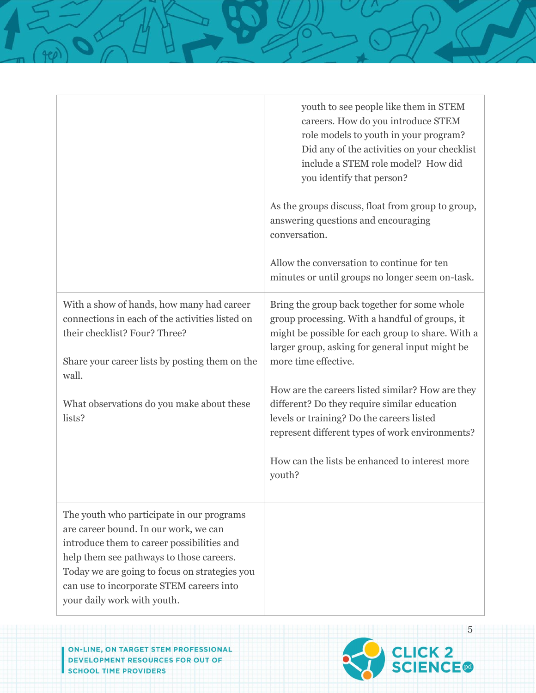|                                                                                                                                                                                                                                                                                                          | youth to see people like them in STEM<br>careers. How do you introduce STEM<br>role models to youth in your program?<br>Did any of the activities on your checklist<br>include a STEM role model? How did<br>you identify that person?<br>As the groups discuss, float from group to group,<br>answering questions and encouraging<br>conversation.<br>Allow the conversation to continue for ten<br>minutes or until groups no longer seem on-task.                                           |
|----------------------------------------------------------------------------------------------------------------------------------------------------------------------------------------------------------------------------------------------------------------------------------------------------------|------------------------------------------------------------------------------------------------------------------------------------------------------------------------------------------------------------------------------------------------------------------------------------------------------------------------------------------------------------------------------------------------------------------------------------------------------------------------------------------------|
| With a show of hands, how many had career<br>connections in each of the activities listed on<br>their checklist? Four? Three?<br>Share your career lists by posting them on the<br>wall.<br>What observations do you make about these<br>lists?                                                          | Bring the group back together for some whole<br>group processing. With a handful of groups, it<br>might be possible for each group to share. With a<br>larger group, asking for general input might be<br>more time effective.<br>How are the careers listed similar? How are they<br>different? Do they require similar education<br>levels or training? Do the careers listed<br>represent different types of work environments?<br>How can the lists be enhanced to interest more<br>youth? |
| The youth who participate in our programs<br>are career bound. In our work, we can<br>introduce them to career possibilities and<br>help them see pathways to those careers.<br>Today we are going to focus on strategies you<br>can use to incorporate STEM careers into<br>your daily work with youth. |                                                                                                                                                                                                                                                                                                                                                                                                                                                                                                |

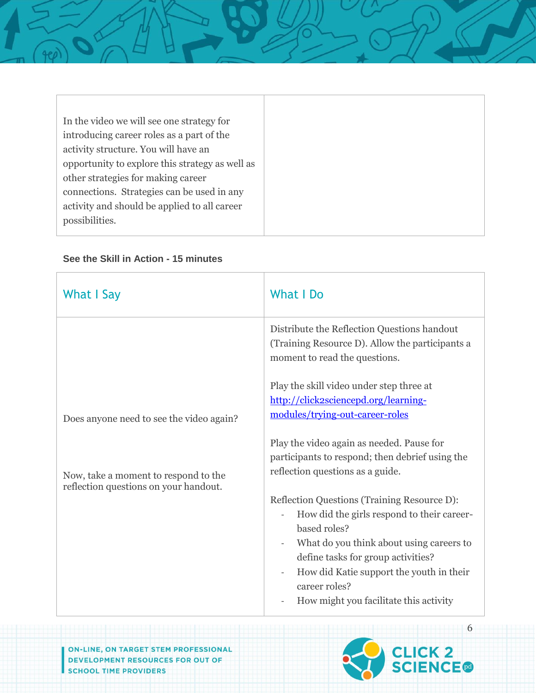In the video we will see one strategy for introducing career roles as a part of the activity structure. You will have an opportunity to explore this strategy as well as other strategies for making career connections. Strategies can be used in any activity and should be applied to all career possibilities.

| What I Say                                                                    | What I Do                                                                                                                                                                                                                                                                                          |
|-------------------------------------------------------------------------------|----------------------------------------------------------------------------------------------------------------------------------------------------------------------------------------------------------------------------------------------------------------------------------------------------|
|                                                                               | Distribute the Reflection Questions handout<br>(Training Resource D). Allow the participants a<br>moment to read the questions.                                                                                                                                                                    |
| Does anyone need to see the video again?                                      | Play the skill video under step three at<br>http://click2sciencepd.org/learning-<br>modules/trying-out-career-roles<br>Play the video again as needed. Pause for                                                                                                                                   |
| Now, take a moment to respond to the<br>reflection questions on your handout. | participants to respond; then debrief using the<br>reflection questions as a guide.                                                                                                                                                                                                                |
|                                                                               | Reflection Questions (Training Resource D):<br>How did the girls respond to their career-<br>based roles?<br>What do you think about using careers to<br>define tasks for group activities?<br>How did Katie support the youth in their<br>career roles?<br>How might you facilitate this activity |

#### **See the Skill in Action - 15 minutes**

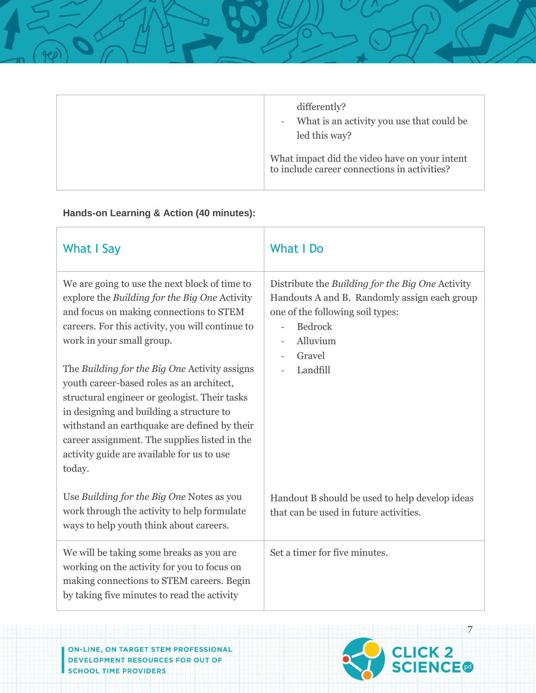| differently?<br>What is an activity you use that could be<br>$\overline{\phantom{a}}$<br>led this way? |
|--------------------------------------------------------------------------------------------------------|
| What impact did the video have on your intent<br>to include career connections in activities?          |

### **Hands-on Learning & Action (40 minutes):**

| <b>What I Say</b>                                                                                                                                                                                                                                                                                                                                | What I Do                                                                                                                                                                    |
|--------------------------------------------------------------------------------------------------------------------------------------------------------------------------------------------------------------------------------------------------------------------------------------------------------------------------------------------------|------------------------------------------------------------------------------------------------------------------------------------------------------------------------------|
| We are going to use the next block of time to<br>explore the Building for the Big One Activity<br>and focus on making connections to STEM<br>careers. For this activity, you will continue to<br>work in your small group.                                                                                                                       | Distribute the Building for the Big One Activity<br>Handouts A and B. Randomly assign each group<br>one of the following soil types:<br><b>Bedrock</b><br>Alluvium<br>Gravel |
| The Building for the Big One Activity assigns<br>youth career-based roles as an architect,<br>structural engineer or geologist. Their tasks<br>in designing and building a structure to<br>withstand an earthquake are defined by their<br>career assignment. The supplies listed in the<br>activity guide are available for us to use<br>today. | Landfill                                                                                                                                                                     |
| Use Building for the Big One Notes as you<br>work through the activity to help formulate<br>ways to help youth think about careers.                                                                                                                                                                                                              | Handout B should be used to help develop ideas<br>that can be used in future activities.                                                                                     |
| We will be taking some breaks as you are<br>working on the activity for you to focus on<br>making connections to STEM careers. Begin<br>by taking five minutes to read the activity                                                                                                                                                              | Set a timer for five minutes.                                                                                                                                                |

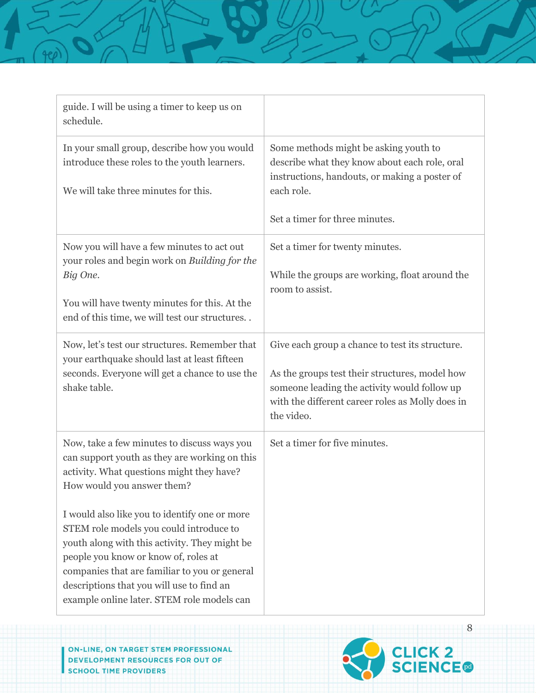| guide. I will be using a timer to keep us on<br>schedule.                                                                                                                                                                                                                                                                     |                                                                                                                                                                                                                     |
|-------------------------------------------------------------------------------------------------------------------------------------------------------------------------------------------------------------------------------------------------------------------------------------------------------------------------------|---------------------------------------------------------------------------------------------------------------------------------------------------------------------------------------------------------------------|
| In your small group, describe how you would<br>introduce these roles to the youth learners.<br>We will take three minutes for this.                                                                                                                                                                                           | Some methods might be asking youth to<br>describe what they know about each role, oral<br>instructions, handouts, or making a poster of<br>each role.<br>Set a timer for three minutes.                             |
| Now you will have a few minutes to act out<br>your roles and begin work on Building for the<br>Big One.<br>You will have twenty minutes for this. At the<br>end of this time, we will test our structures                                                                                                                     | Set a timer for twenty minutes.<br>While the groups are working, float around the<br>room to assist.                                                                                                                |
| Now, let's test our structures. Remember that<br>your earthquake should last at least fifteen<br>seconds. Everyone will get a chance to use the<br>shake table.                                                                                                                                                               | Give each group a chance to test its structure.<br>As the groups test their structures, model how<br>someone leading the activity would follow up<br>with the different career roles as Molly does in<br>the video. |
| Now, take a few minutes to discuss ways you<br>can support youth as they are working on this<br>activity. What questions might they have?<br>How would you answer them?                                                                                                                                                       | Set a timer for five minutes.                                                                                                                                                                                       |
| I would also like you to identify one or more<br>STEM role models you could introduce to<br>youth along with this activity. They might be<br>people you know or know of, roles at<br>companies that are familiar to you or general<br>descriptions that you will use to find an<br>example online later. STEM role models can |                                                                                                                                                                                                                     |

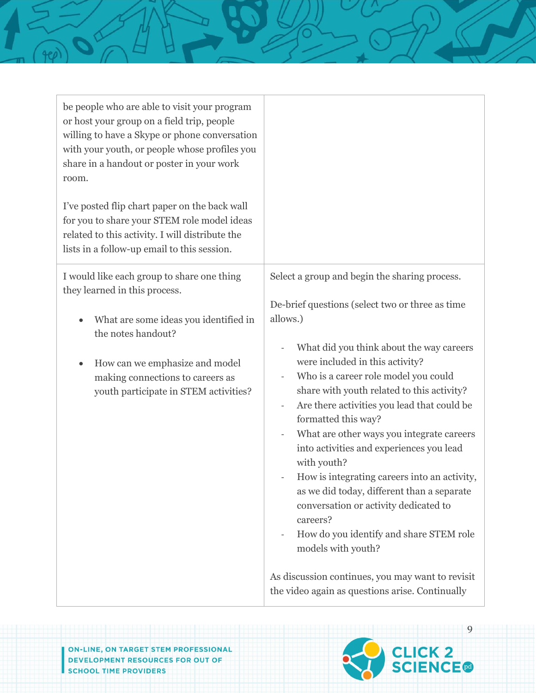| be people who are able to visit your program<br>or host your group on a field trip, people<br>willing to have a Skype or phone conversation<br>with your youth, or people whose profiles you<br>share in a handout or poster in your work<br>room. |                                                                                                                                                          |
|----------------------------------------------------------------------------------------------------------------------------------------------------------------------------------------------------------------------------------------------------|----------------------------------------------------------------------------------------------------------------------------------------------------------|
| I've posted flip chart paper on the back wall<br>for you to share your STEM role model ideas<br>related to this activity. I will distribute the<br>lists in a follow-up email to this session.                                                     |                                                                                                                                                          |
| I would like each group to share one thing<br>they learned in this process.<br>What are some ideas you identified in                                                                                                                               | Select a group and begin the sharing process.<br>De-brief questions (select two or three as time<br>allows.)                                             |
| the notes handout?                                                                                                                                                                                                                                 | What did you think about the way careers<br>were included in this activity?                                                                              |
| How can we emphasize and model<br>$\bullet$<br>making connections to careers as<br>youth participate in STEM activities?                                                                                                                           | Who is a career role model you could<br>share with youth related to this activity?<br>Are there activities you lead that could be<br>formatted this way? |
|                                                                                                                                                                                                                                                    | What are other ways you integrate careers<br>into activities and experiences you lead<br>with youth?                                                     |
|                                                                                                                                                                                                                                                    | How is integrating careers into an activity,<br>as we did today, different than a separate<br>conversation or activity dedicated to<br>careers?          |
|                                                                                                                                                                                                                                                    | How do you identify and share STEM role<br>models with youth?                                                                                            |
|                                                                                                                                                                                                                                                    | As discussion continues, you may want to revisit<br>the video again as questions arise. Continually                                                      |

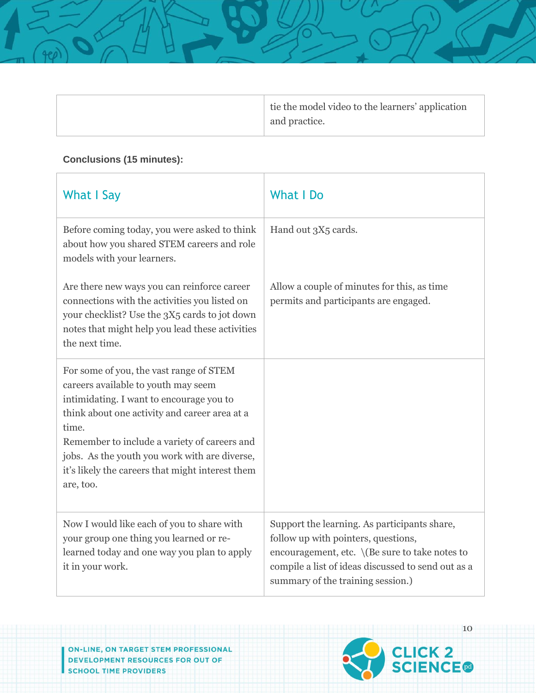|  | tie the model video to the learners' application |
|--|--------------------------------------------------|
|  | and practice.                                    |

### **Conclusions (15 minutes):**

| What I Say                                                                                                                                                                                                                                                                                                                                             | <b>What I Do</b>                                                                                                                                                                                                                 |
|--------------------------------------------------------------------------------------------------------------------------------------------------------------------------------------------------------------------------------------------------------------------------------------------------------------------------------------------------------|----------------------------------------------------------------------------------------------------------------------------------------------------------------------------------------------------------------------------------|
| Before coming today, you were asked to think<br>about how you shared STEM careers and role<br>models with your learners.                                                                                                                                                                                                                               | Hand out 3X5 cards.                                                                                                                                                                                                              |
| Are there new ways you can reinforce career<br>connections with the activities you listed on<br>your checklist? Use the 3X5 cards to jot down<br>notes that might help you lead these activities<br>the next time.                                                                                                                                     | Allow a couple of minutes for this, as time<br>permits and participants are engaged.                                                                                                                                             |
| For some of you, the vast range of STEM<br>careers available to youth may seem<br>intimidating. I want to encourage you to<br>think about one activity and career area at a<br>time.<br>Remember to include a variety of careers and<br>jobs. As the youth you work with are diverse,<br>it's likely the careers that might interest them<br>are, too. |                                                                                                                                                                                                                                  |
| Now I would like each of you to share with<br>your group one thing you learned or re-<br>learned today and one way you plan to apply<br>it in your work.                                                                                                                                                                                               | Support the learning. As participants share,<br>follow up with pointers, questions,<br>encouragement, etc. \(Be sure to take notes to<br>compile a list of ideas discussed to send out as a<br>summary of the training session.) |

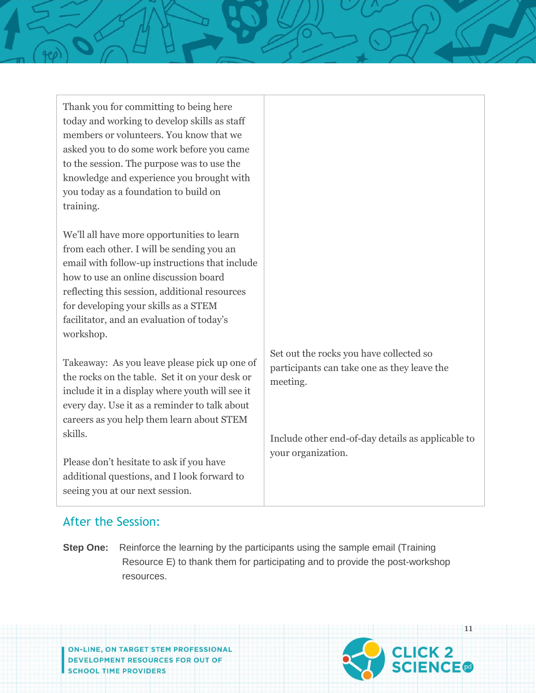| Thank you for committing to being here<br>today and working to develop skills as staff<br>members or volunteers. You know that we<br>asked you to do some work before you came<br>to the session. The purpose was to use the<br>knowledge and experience you brought with<br>you today as a foundation to build on<br>training.       |                                                                                                    |
|---------------------------------------------------------------------------------------------------------------------------------------------------------------------------------------------------------------------------------------------------------------------------------------------------------------------------------------|----------------------------------------------------------------------------------------------------|
| We'll all have more opportunities to learn<br>from each other. I will be sending you an<br>email with follow-up instructions that include<br>how to use an online discussion board<br>reflecting this session, additional resources<br>for developing your skills as a STEM<br>facilitator, and an evaluation of today's<br>workshop. |                                                                                                    |
| Takeaway: As you leave please pick up one of<br>the rocks on the table. Set it on your desk or<br>include it in a display where youth will see it<br>every day. Use it as a reminder to talk about<br>careers as you help them learn about STEM                                                                                       | Set out the rocks you have collected so<br>participants can take one as they leave the<br>meeting. |
| skills.<br>Please don't hesitate to ask if you have<br>additional questions, and I look forward to<br>seeing you at our next session.                                                                                                                                                                                                 | Include other end-of-day details as applicable to<br>your organization.                            |

# After the Session:

**Step One:** Reinforce the learning by the participants using the sample email (Training Resource E) to thank them for participating and to provide the post-workshop resources.

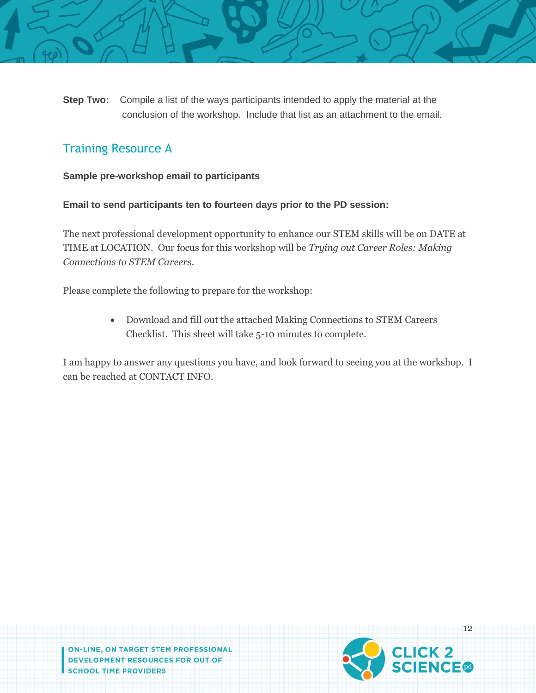

**Step Two:** Compile a list of the ways participants intended to apply the material at the conclusion of the workshop. Include that list as an attachment to the email.

# Training Resource A

#### **Sample pre-workshop email to participants**

**Email to send participants ten to fourteen days prior to the PD session:** 

The next professional development opportunity to enhance our STEM skills will be on DATE at TIME at LOCATION. Our focus for this workshop will be *Trying out Career Roles: Making Connections to STEM Careers.*

Please complete the following to prepare for the workshop:

 Download and fill out the attached Making Connections to STEM Careers Checklist. This sheet will take 5-10 minutes to complete.

I am happy to answer any questions you have, and look forward to seeing you at the workshop. I can be reached at CONTACT INFO.

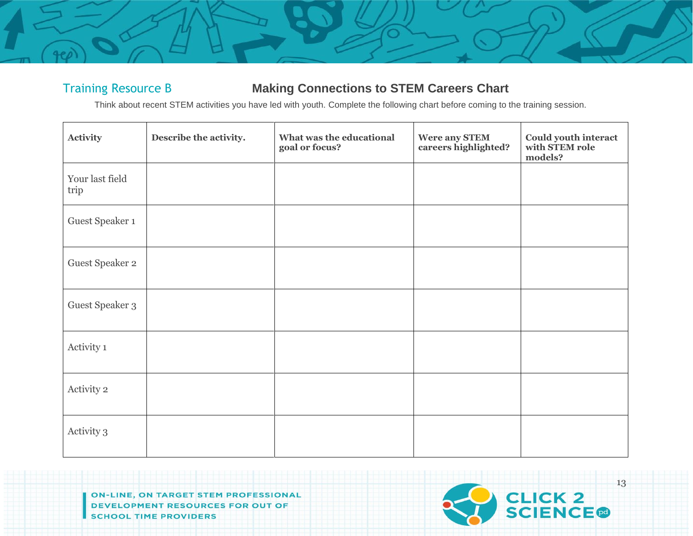# Training Resource B **Making Connections to STEM Careers Chart**

Think about recent STEM activities you have led with youth. Complete the following chart before coming to the training session.

| Activity                | Describe the activity. | What was the educational<br>goal or focus? | Were any STEM<br>careers highlighted? | <b>Could youth interact<br/>with STEM role</b><br>models? |
|-------------------------|------------------------|--------------------------------------------|---------------------------------------|-----------------------------------------------------------|
| Your last field<br>trip |                        |                                            |                                       |                                                           |
| Guest Speaker 1         |                        |                                            |                                       |                                                           |
| Guest Speaker 2         |                        |                                            |                                       |                                                           |
| Guest Speaker 3         |                        |                                            |                                       |                                                           |
| Activity 1              |                        |                                            |                                       |                                                           |
| Activity 2              |                        |                                            |                                       |                                                           |
| Activity 3              |                        |                                            |                                       |                                                           |

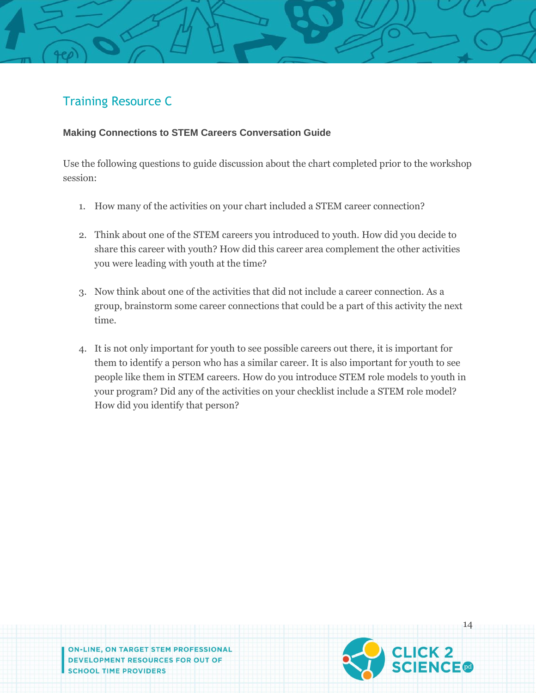# Training Resource C

#### **Making Connections to STEM Careers Conversation Guide**

Use the following questions to guide discussion about the chart completed prior to the workshop session:

- 1. How many of the activities on your chart included a STEM career connection?
- 2. Think about one of the STEM careers you introduced to youth. How did you decide to share this career with youth? How did this career area complement the other activities you were leading with youth at the time?
- 3. Now think about one of the activities that did not include a career connection. As a group, brainstorm some career connections that could be a part of this activity the next time.
- 4. It is not only important for youth to see possible careers out there, it is important for them to identify a person who has a similar career. It is also important for youth to see people like them in STEM careers. How do you introduce STEM role models to youth in your program? Did any of the activities on your checklist include a STEM role model? How did you identify that person?

ON-LINE, ON TARGET STEM PROFESSIONAL DEVELOPMENT RESOURCES FOR OUT OF **SCHOOL TIME PROVIDERS** 



14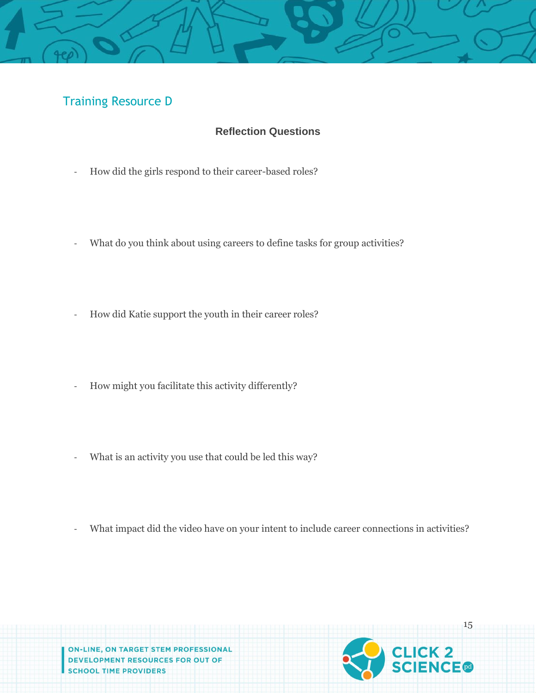# Training Resource D

#### **Reflection Questions**

- How did the girls respond to their career-based roles?
- What do you think about using careers to define tasks for group activities?
- How did Katie support the youth in their career roles?
- How might you facilitate this activity differently?
- What is an activity you use that could be led this way?
- What impact did the video have on your intent to include career connections in activities?



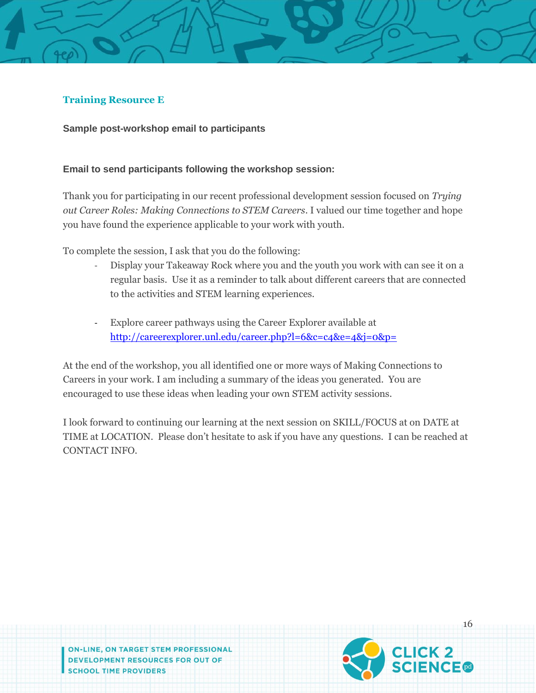#### **Training Resource E**

**Sample post-workshop email to participants**

#### **Email to send participants following the workshop session:**

Thank you for participating in our recent professional development session focused on *Trying out Career Roles: Making Connections to STEM Careers.* I valued our time together and hope you have found the experience applicable to your work with youth.

To complete the session, I ask that you do the following:

- Display your Takeaway Rock where you and the youth you work with can see it on a regular basis. Use it as a reminder to talk about different careers that are connected to the activities and STEM learning experiences.
- Explore career pathways using the Career Explorer available at <http://careerexplorer.unl.edu/career.php?l=6&c=c4&e=4&j=0&p=>

At the end of the workshop, you all identified one or more ways of Making Connections to Careers in your work. I am including a summary of the ideas you generated. You are encouraged to use these ideas when leading your own STEM activity sessions.

I look forward to continuing our learning at the next session on SKILL/FOCUS at on DATE at TIME at LOCATION. Please don't hesitate to ask if you have any questions. I can be reached at CONTACT INFO.

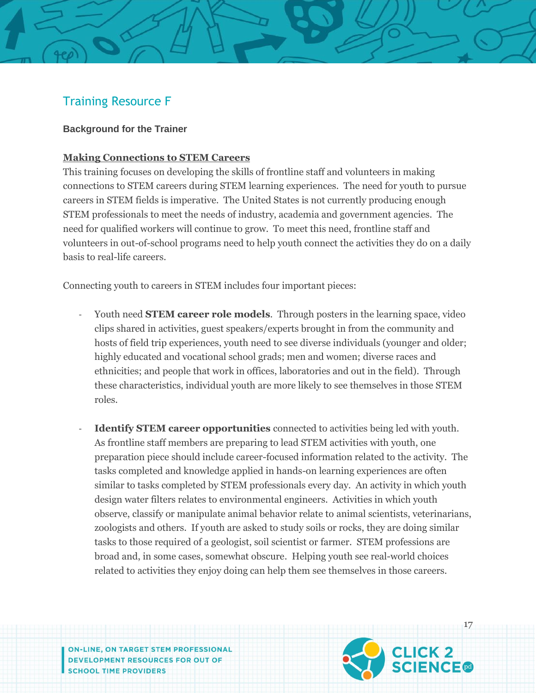# Training Resource F

#### **Background for the Trainer**

#### **Making Connections to STEM Careers**

This training focuses on developing the skills of frontline staff and volunteers in making connections to STEM careers during STEM learning experiences. The need for youth to pursue careers in STEM fields is imperative. The United States is not currently producing enough STEM professionals to meet the needs of industry, academia and government agencies. The need for qualified workers will continue to grow. To meet this need, frontline staff and volunteers in out-of-school programs need to help youth connect the activities they do on a daily basis to real-life careers.

Connecting youth to careers in STEM includes four important pieces:

- Youth need **STEM career role models**. Through posters in the learning space, video clips shared in activities, guest speakers/experts brought in from the community and hosts of field trip experiences, youth need to see diverse individuals (younger and older; highly educated and vocational school grads; men and women; diverse races and ethnicities; and people that work in offices, laboratories and out in the field). Through these characteristics, individual youth are more likely to see themselves in those STEM roles.
- **Identify STEM career opportunities** connected to activities being led with youth. As frontline staff members are preparing to lead STEM activities with youth, one preparation piece should include career-focused information related to the activity. The tasks completed and knowledge applied in hands-on learning experiences are often similar to tasks completed by STEM professionals every day. An activity in which youth design water filters relates to environmental engineers. Activities in which youth observe, classify or manipulate animal behavior relate to animal scientists, veterinarians, zoologists and others. If youth are asked to study soils or rocks, they are doing similar tasks to those required of a geologist, soil scientist or farmer. STEM professions are broad and, in some cases, somewhat obscure. Helping youth see real-world choices related to activities they enjoy doing can help them see themselves in those careers.

**ON-LINE, ON TARGET STEM PROFESSIONAL** DEVELOPMENT RESOURCES FOR OUT OF **SCHOOL TIME PROVIDERS** 



17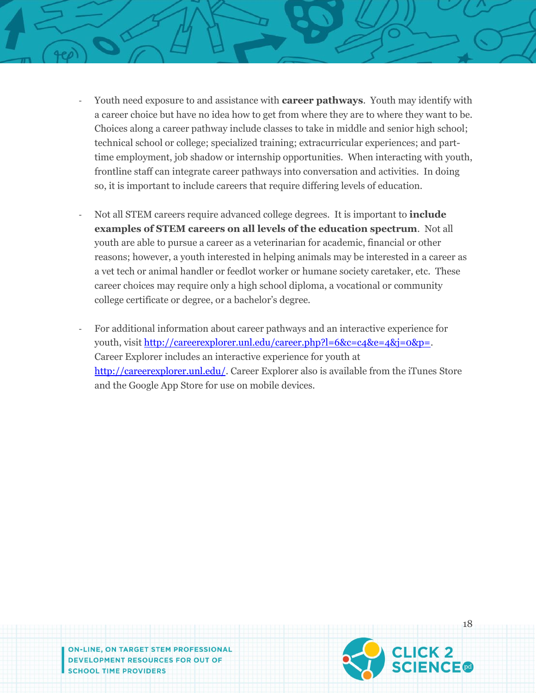- Youth need exposure to and assistance with **career pathways**. Youth may identify with a career choice but have no idea how to get from where they are to where they want to be. Choices along a career pathway include classes to take in middle and senior high school; technical school or college; specialized training; extracurricular experiences; and parttime employment, job shadow or internship opportunities. When interacting with youth, frontline staff can integrate career pathways into conversation and activities. In doing so, it is important to include careers that require differing levels of education.
- Not all STEM careers require advanced college degrees. It is important to **include examples of STEM careers on all levels of the education spectrum**. Not all youth are able to pursue a career as a veterinarian for academic, financial or other reasons; however, a youth interested in helping animals may be interested in a career as a vet tech or animal handler or feedlot worker or humane society caretaker, etc. These career choices may require only a high school diploma, a vocational or community college certificate or degree, or a bachelor's degree.
- For additional information about career pathways and an interactive experience for youth, visit [http://careerexplorer.unl.edu/career.php?l=6&c=c4&e=4&j=0&p=.](http://careerexplorer.unl.edu/career.php?l=6&c=c4&e=4&j=0&p=) Career Explorer includes an interactive experience for youth at [http://careerexplorer.unl.edu/.](http://careerexplorer.unl.edu/) Career Explorer also is available from the iTunes Store and the Google App Store for use on mobile devices.

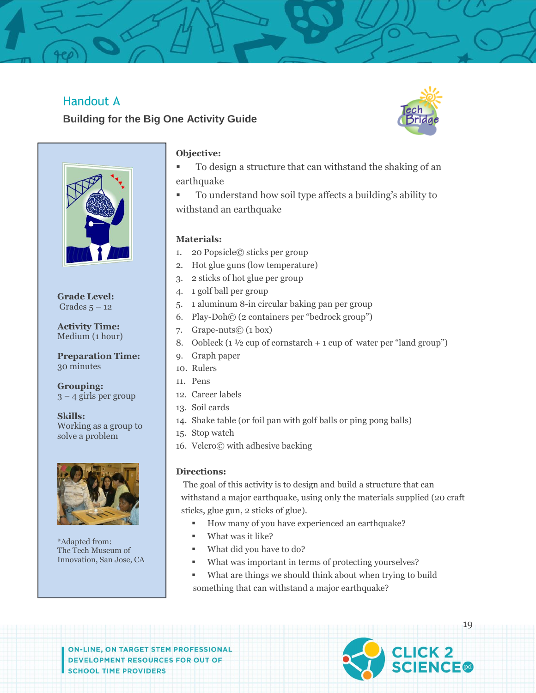# Handout A

# **Building for the Big One Activity Guide**





**Grade Level:** Grades  $5 - 12$ 

**Activity Time:** Medium (1 hour)

**Preparation Time:** 30 minutes

**Grouping:**  $3 - 4$  girls per group

**Skills:** Working as a group to solve a problem



\*Adapted from: The Tech Museum of Innovation, San Jose, CA

#### **Objective:**

- To design a structure that can withstand the shaking of an earthquake
- To understand how soil type affects a building's ability to withstand an earthquake

#### **Materials:**

- 1. 20 Popsicle© sticks per group
- 2. Hot glue guns (low temperature)
- 3. 2 sticks of hot glue per group
- 4. 1 golf ball per group
- 5. 1 aluminum 8-in circular baking pan per group
- 6. Play-Doh© (2 containers per "bedrock group")
- 7. Grape-nuts© (1 box)
- 8. Oobleck  $(1 \frac{1}{2}$  cup of cornstarch + 1 cup of water per "land group")
- 9. Graph paper
- 10. Rulers
- 11. Pens
- 12. Career labels
- 13. Soil cards
- 14. Shake table (or foil pan with golf balls or ping pong balls)
- 15. Stop watch
- 16. Velcro© with adhesive backing

#### **Directions:**

The goal of this activity is to design and build a structure that can withstand a major earthquake, using only the materials supplied (20 craft sticks, glue gun, 2 sticks of glue).

- How many of you have experienced an earthquake?
- What was it like?
- What did you have to do?
- What was important in terms of protecting yourselves?
- What are things we should think about when trying to build something that can withstand a major earthquake?

**ON-LINE, ON TARGET STEM PROFESSIONAL** DEVELOPMENT RESOURCES FOR OUT OF **SCHOOL TIME PROVIDERS** 



19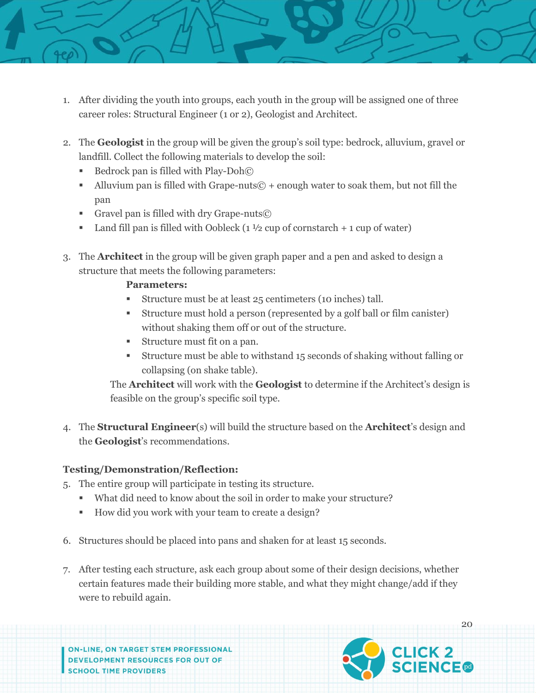- 1. After dividing the youth into groups, each youth in the group will be assigned one of three career roles: Structural Engineer (1 or 2), Geologist and Architect.
	- 2. The **Geologist** in the group will be given the group's soil type: bedrock, alluvium, gravel or landfill. Collect the following materials to develop the soil:
		- Bedrock pan is filled with Play-Doh©
		- Alluvium pan is filled with Grape-nuts $\odot$  + enough water to soak them, but not fill the pan
		- Gravel pan is filled with dry Grape-nuts©
		- **Land fill pan is filled with Oobleck**  $(1 \frac{1}{2}$  cup of cornstarch  $+ 1$  cup of water)
	- 3. The **Architect** in the group will be given graph paper and a pen and asked to design a structure that meets the following parameters:

#### **Parameters:**

- Structure must be at least 25 centimeters (10 inches) tall.
- Structure must hold a person (represented by a golf ball or film canister) without shaking them off or out of the structure.
- Structure must fit on a pan.
- Structure must be able to withstand 15 seconds of shaking without falling or collapsing (on shake table).

The **Architect** will work with the **Geologist** to determine if the Architect's design is feasible on the group's specific soil type.

4. The **Structural Engineer**(s) will build the structure based on the **Architect**'s design and the **Geologist**'s recommendations.

#### **Testing/Demonstration/Reflection:**

- 5. The entire group will participate in testing its structure.
	- What did need to know about the soil in order to make your structure?
	- How did you work with your team to create a design?
- 6. Structures should be placed into pans and shaken for at least 15 seconds.
- 7. After testing each structure, ask each group about some of their design decisions, whether certain features made their building more stable, and what they might change/add if they were to rebuild again.

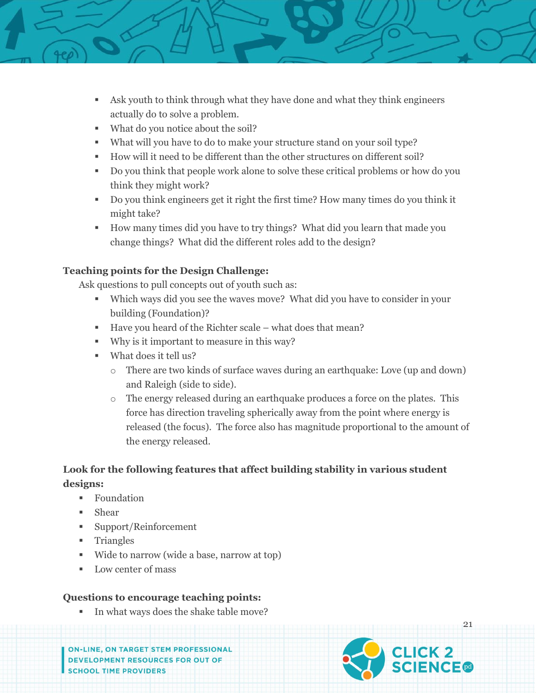

- Ask youth to think through what they have done and what they think engineers actually do to solve a problem.
- What do you notice about the soil?
- What will you have to do to make your structure stand on your soil type?
- How will it need to be different than the other structures on different soil?
- Do you think that people work alone to solve these critical problems or how do you think they might work?
- Do you think engineers get it right the first time? How many times do you think it might take?
- How many times did you have to try things? What did you learn that made you change things? What did the different roles add to the design?

#### **Teaching points for the Design Challenge:**

Ask questions to pull concepts out of youth such as:

- Which ways did you see the waves move? What did you have to consider in your building (Foundation)?
- Have you heard of the Richter scale what does that mean?
- Why is it important to measure in this way?
- What does it tell us?
	- o There are two kinds of surface waves during an earthquake: Love (up and down) and Raleigh (side to side).
	- o The energy released during an earthquake produces a force on the plates. This force has direction traveling spherically away from the point where energy is released (the focus). The force also has magnitude proportional to the amount of the energy released.

### **Look for the following features that affect building stability in various student designs:**

- **Foundation**
- Shear
- Support/Reinforcement
- **Triangles**
- Wide to narrow (wide a base, narrow at top)
- Low center of mass

#### **Questions to encourage teaching points:**

In what ways does the shake table move?

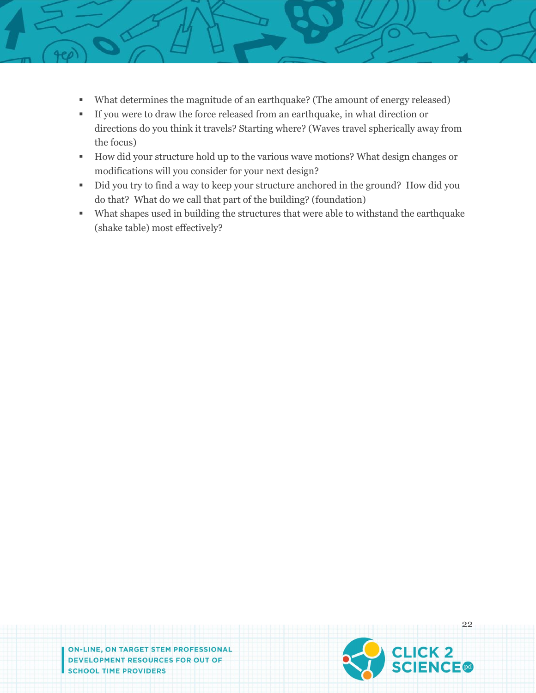- - What determines the magnitude of an earthquake? (The amount of energy released)
	- If you were to draw the force released from an earthquake, in what direction or directions do you think it travels? Starting where? (Waves travel spherically away from the focus)
	- How did your structure hold up to the various wave motions? What design changes or modifications will you consider for your next design?
	- Did you try to find a way to keep your structure anchored in the ground? How did you do that? What do we call that part of the building? (foundation)
	- What shapes used in building the structures that were able to withstand the earthquake (shake table) most effectively?